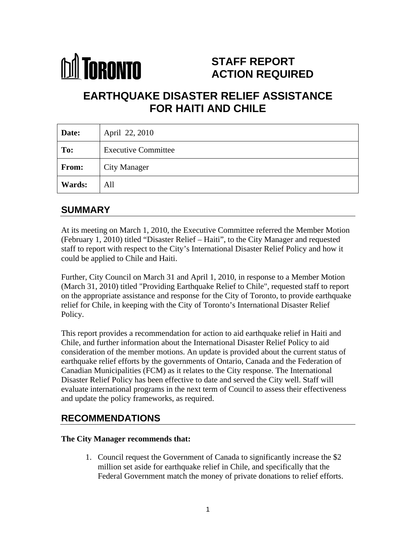

# **STAFF REPORT ACTION REQUIRED**

# **EARTHQUAKE DISASTER RELIEF ASSISTANCE FOR HAITI AND CHILE**

| Date:        | April 22, 2010             |
|--------------|----------------------------|
| To:          | <b>Executive Committee</b> |
| <b>From:</b> | City Manager               |
| Wards:       | All                        |

# **SUMMARY**

At its meeting on March 1, 2010, the Executive Committee referred the Member Motion (February 1, 2010) titled "Disaster Relief – Haiti", to the City Manager and requested staff to report with respect to the City's International Disaster Relief Policy and how it could be applied to Chile and Haiti.

Further, City Council on March 31 and April 1, 2010, in response to a Member Motion (March 31, 2010) titled "Providing Earthquake Relief to Chile", requested staff to report on the appropriate assistance and response for the City of Toronto, to provide earthquake relief for Chile, in keeping with the City of Toronto's International Disaster Relief Policy.

This report provides a recommendation for action to aid earthquake relief in Haiti and Chile, and further information about the International Disaster Relief Policy to aid consideration of the member motions. An update is provided about the current status of earthquake relief efforts by the governments of Ontario, Canada and the Federation of Canadian Municipalities (FCM) as it relates to the City response. The International Disaster Relief Policy has been effective to date and served the City well. Staff will evaluate international programs in the next term of Council to assess their effectiveness and update the policy frameworks, as required.

# **RECOMMENDATIONS**

#### **The City Manager recommends that:**

1. Council request the Government of Canada to significantly increase the \$2 million set aside for earthquake relief in Chile, and specifically that the Federal Government match the money of private donations to relief efforts.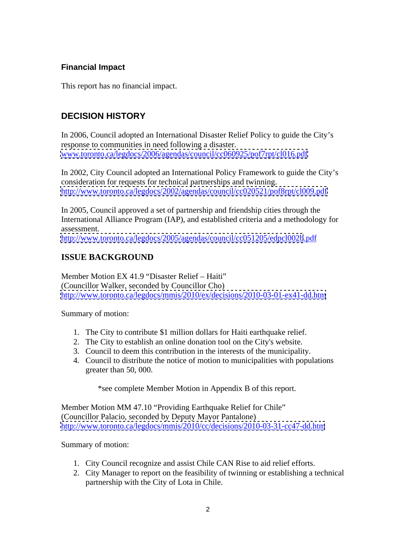# **Financial Impact**

This report has no financial impact.

# **DECISION HISTORY**

In 2006, Council adopted an International Disaster Relief Policy to guide the City's response to communities in need following a disaster.<br>[www.toronto.ca/legdocs/2006/agendas/council/cc060925/pof7rpt/cl016.pdf](http://www.toronto.ca/legdocs/2006/agendas/council/cc060925/pof7rpt/cl016.pdf)

In 2002, City Council adopted an International Policy Framework to guide the City's consideration for requests for technical partnerships and twinning. <http://www.toronto.ca/legdocs/2002/agendas/council/cc020521/pof8rpt/cl009.pdf>

In 2005, Council approved a set of partnership and friendship cities through the International Alliance Program (IAP), and established criteria and a methodology for assessment.

<http://www.toronto.ca/legdocs/2005/agendas/council/cc051205/edpcl002b>.pdf

# **ISSUE BACKGROUND**

Member Motion EX 41.9 "Disaster Relief – Haiti" (Councillor Walker, seconded by Councillor Cho) <http://www.toronto.ca/legdocs/mmis/2010/ex/decisions/2010-03-01-ex41-dd.htm>

Summary of motion:

- 1. The City to contribute \$1 million dollars for Haiti earthquake relief.
- 2. The City to establish an online donation tool on the City's website.
- 3. Council to deem this contribution in the interests of the municipality.
- 4. Council to distribute the notice of motion to municipalities with populations greater than 50, 000.

\*see complete Member Motion in Appendix B of this report.

Member Motion MM 47.10 "Providing Earthquake Relief for Chile" (Councillor Palacio, seconded by Deputy Mayor Pantalone) <http://www.toronto.ca/legdocs/mmis/2010/cc/decisions/2010-03-31-cc47-dd.htm>

Summary of motion:

- 1. City Council recognize and assist Chile CAN Rise to aid relief efforts.
- 2. City Manager to report on the feasibility of twinning or establishing a technical partnership with the City of Lota in Chile.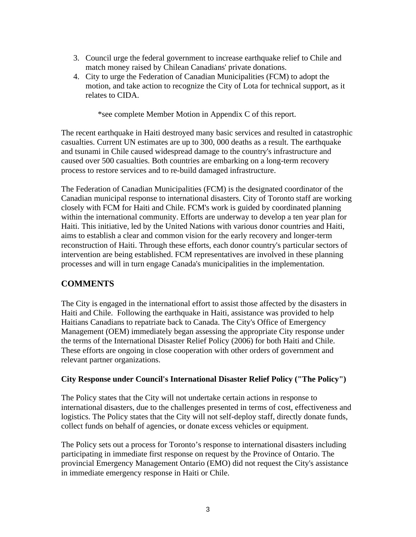- 3. Council urge the federal government to increase earthquake relief to Chile and match money raised by Chilean Canadians' private donations.
- 4. City to urge the Federation of Canadian Municipalities (FCM) to adopt the motion, and take action to recognize the City of Lota for technical support, as it relates to CIDA.

\*see complete Member Motion in Appendix C of this report.

The recent earthquake in Haiti destroyed many basic services and resulted in catastrophic casualties. Current UN estimates are up to 300, 000 deaths as a result. The earthquake and tsunami in Chile caused widespread damage to the country's infrastructure and caused over 500 casualties. Both countries are embarking on a long-term recovery process to restore services and to re-build damaged infrastructure.

The Federation of Canadian Municipalities (FCM) is the designated coordinator of the Canadian municipal response to international disasters. City of Toronto staff are working closely with FCM for Haiti and Chile. FCM's work is guided by coordinated planning within the international community. Efforts are underway to develop a ten year plan for Haiti. This initiative, led by the United Nations with various donor countries and Haiti, aims to establish a clear and common vision for the early recovery and longer-term reconstruction of Haiti. Through these efforts, each donor country's particular sectors of intervention are being established. FCM representatives are involved in these planning processes and will in turn engage Canada's municipalities in the implementation.

# **COMMENTS**

The City is engaged in the international effort to assist those affected by the disasters in Haiti and Chile. Following the earthquake in Haiti, assistance was provided to help Haitians Canadians to repatriate back to Canada. The City's Office of Emergency Management (OEM) immediately began assessing the appropriate City response under the terms of the International Disaster Relief Policy (2006) for both Haiti and Chile. These efforts are ongoing in close cooperation with other orders of government and relevant partner organizations.

#### **City Response under Council's International Disaster Relief Policy ("The Policy")**

The Policy states that the City will not undertake certain actions in response to international disasters, due to the challenges presented in terms of cost, effectiveness and logistics. The Policy states that the City will not self-deploy staff, directly donate funds, collect funds on behalf of agencies, or donate excess vehicles or equipment.

The Policy sets out a process for Toronto's response to international disasters including participating in immediate first response on request by the Province of Ontario. The provincial Emergency Management Ontario (EMO) did not request the City's assistance in immediate emergency response in Haiti or Chile.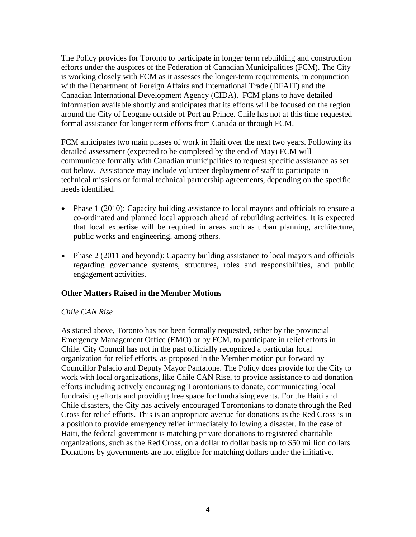The Policy provides for Toronto to participate in longer term rebuilding and construction efforts under the auspices of the Federation of Canadian Municipalities (FCM). The City is working closely with FCM as it assesses the longer-term requirements, in conjunction with the Department of Foreign Affairs and International Trade (DFAIT) and the Canadian International Development Agency (CIDA). FCM plans to have detailed information available shortly and anticipates that its efforts will be focused on the region around the City of Leogane outside of Port au Prince. Chile has not at this time requested formal assistance for longer term efforts from Canada or through FCM.

FCM anticipates two main phases of work in Haiti over the next two years. Following its detailed assessment (expected to be completed by the end of May) FCM will communicate formally with Canadian municipalities to request specific assistance as set out below. Assistance may include volunteer deployment of staff to participate in technical missions or formal technical partnership agreements, depending on the specific needs identified.

- Phase 1 (2010): Capacity building assistance to local mayors and officials to ensure a co-ordinated and planned local approach ahead of rebuilding activities. It is expected that local expertise will be required in areas such as urban planning, architecture, public works and engineering, among others.
- Phase 2 (2011 and beyond): Capacity building assistance to local mayors and officials regarding governance systems, structures, roles and responsibilities, and public engagement activities.

#### **Other Matters Raised in the Member Motions**

#### *Chile CAN Rise*

As stated above, Toronto has not been formally requested, either by the provincial Emergency Management Office (EMO) or by FCM, to participate in relief efforts in Chile. City Council has not in the past officially recognized a particular local organization for relief efforts, as proposed in the Member motion put forward by Councillor Palacio and Deputy Mayor Pantalone. The Policy does provide for the City to work with local organizations, like Chile CAN Rise, to provide assistance to aid donation efforts including actively encouraging Torontonians to donate, communicating local fundraising efforts and providing free space for fundraising events. For the Haiti and Chile disasters, the City has actively encouraged Torontonians to donate through the Red Cross for relief efforts. This is an appropriate avenue for donations as the Red Cross is in a position to provide emergency relief immediately following a disaster. In the case of Haiti, the federal government is matching private donations to registered charitable organizations, such as the Red Cross, on a dollar to dollar basis up to \$50 million dollars. Donations by governments are not eligible for matching dollars under the initiative.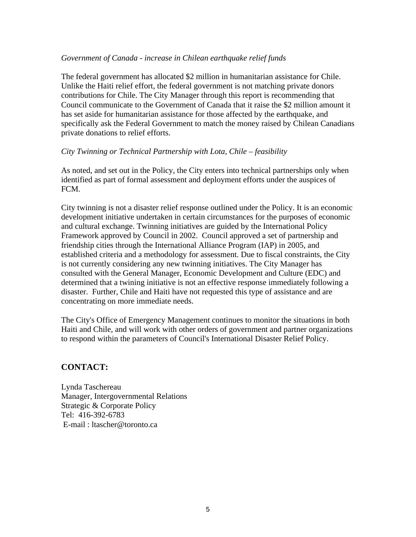#### *Government of Canada - increase in Chilean earthquake relief funds*

The federal government has allocated \$2 million in humanitarian assistance for Chile. Unlike the Haiti relief effort, the federal government is not matching private donors contributions for Chile. The City Manager through this report is recommending that Council communicate to the Government of Canada that it raise the \$2 million amount it has set aside for humanitarian assistance for those affected by the earthquake, and specifically ask the Federal Government to match the money raised by Chilean Canadians private donations to relief efforts.

#### *City Twinning or Technical Partnership with Lota, Chile – feasibility*

As noted, and set out in the Policy, the City enters into technical partnerships only when identified as part of formal assessment and deployment efforts under the auspices of FCM.

City twinning is not a disaster relief response outlined under the Policy. It is an economic development initiative undertaken in certain circumstances for the purposes of economic and cultural exchange. Twinning initiatives are guided by the International Policy Framework approved by Council in 2002. Council approved a set of partnership and friendship cities through the International Alliance Program (IAP) in 2005, and established criteria and a methodology for assessment. Due to fiscal constraints, the City is not currently considering any new twinning initiatives. The City Manager has consulted with the General Manager, Economic Development and Culture (EDC) and determined that a twining initiative is not an effective response immediately following a disaster. Further, Chile and Haiti have not requested this type of assistance and are concentrating on more immediate needs.

The City's Office of Emergency Management continues to monitor the situations in both Haiti and Chile, and will work with other orders of government and partner organizations to respond within the parameters of Council's International Disaster Relief Policy.

# **CONTACT:**

Lynda Taschereau Manager, Intergovernmental Relations Strategic & Corporate Policy Tel: 416-392-6783 E-mail : ltascher@toronto.ca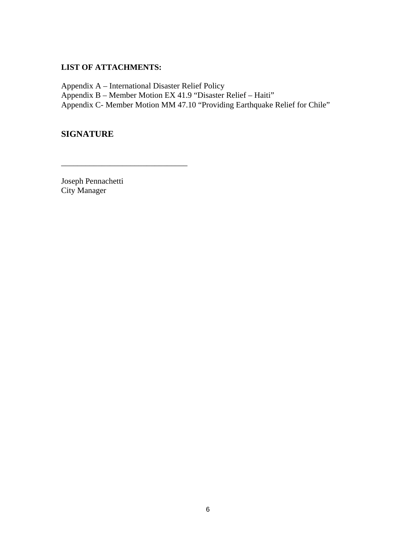#### **LIST OF ATTACHMENTS:**

Appendix A – International Disaster Relief Policy Appendix B – Member Motion EX 41.9 "Disaster Relief – Haiti" Appendix C- Member Motion MM 47.10 "Providing Earthquake Relief for Chile"

 $\overline{\phantom{a}}$  , we can assume that the contract of  $\overline{\phantom{a}}$  , we can assume that the contract of  $\overline{\phantom{a}}$ 

### **SIGNATURE**

Joseph Pennachetti City Manager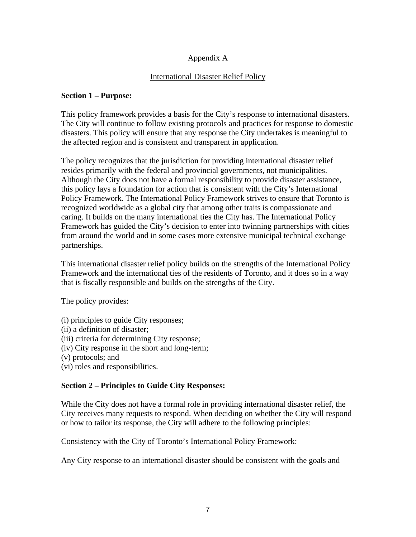### Appendix A

#### International Disaster Relief Policy

#### **Section 1 – Purpose:**

This policy framework provides a basis for the City's response to international disasters. The City will continue to follow existing protocols and practices for response to domestic disasters. This policy will ensure that any response the City undertakes is meaningful to the affected region and is consistent and transparent in application.

The policy recognizes that the jurisdiction for providing international disaster relief resides primarily with the federal and provincial governments, not municipalities. Although the City does not have a formal responsibility to provide disaster assistance, this policy lays a foundation for action that is consistent with the City's International Policy Framework. The International Policy Framework strives to ensure that Toronto is recognized worldwide as a global city that among other traits is compassionate and caring. It builds on the many international ties the City has. The International Policy Framework has guided the City's decision to enter into twinning partnerships with cities from around the world and in some cases more extensive municipal technical exchange partnerships.

This international disaster relief policy builds on the strengths of the International Policy Framework and the international ties of the residents of Toronto, and it does so in a way that is fiscally responsible and builds on the strengths of the City.

The policy provides:

- (i) principles to guide City responses;
- (ii) a definition of disaster;
- (iii) criteria for determining City response;
- (iv) City response in the short and long-term;
- (v) protocols; and
- (vi) roles and responsibilities.

#### **Section 2 – Principles to Guide City Responses:**

While the City does not have a formal role in providing international disaster relief, the City receives many requests to respond. When deciding on whether the City will respond or how to tailor its response, the City will adhere to the following principles:

Consistency with the City of Toronto's International Policy Framework:

Any City response to an international disaster should be consistent with the goals and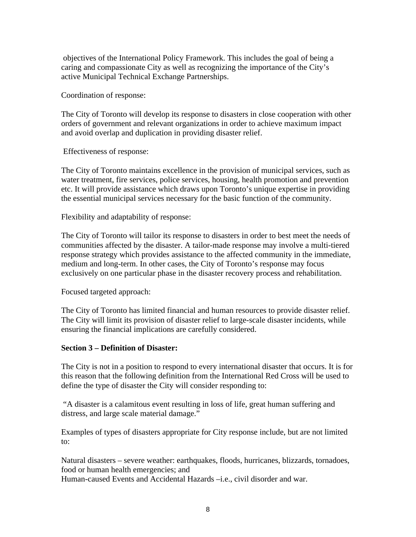objectives of the International Policy Framework. This includes the goal of being a caring and compassionate City as well as recognizing the importance of the City's active Municipal Technical Exchange Partnerships.

Coordination of response:

The City of Toronto will develop its response to disasters in close cooperation with other orders of government and relevant organizations in order to achieve maximum impact and avoid overlap and duplication in providing disaster relief.

Effectiveness of response:

The City of Toronto maintains excellence in the provision of municipal services, such as water treatment, fire services, police services, housing, health promotion and prevention etc. It will provide assistance which draws upon Toronto's unique expertise in providing the essential municipal services necessary for the basic function of the community.

Flexibility and adaptability of response:

The City of Toronto will tailor its response to disasters in order to best meet the needs of communities affected by the disaster. A tailor-made response may involve a multi-tiered response strategy which provides assistance to the affected community in the immediate, medium and long-term. In other cases, the City of Toronto's response may focus exclusively on one particular phase in the disaster recovery process and rehabilitation.

Focused targeted approach:

The City of Toronto has limited financial and human resources to provide disaster relief. The City will limit its provision of disaster relief to large-scale disaster incidents, while ensuring the financial implications are carefully considered.

#### **Section 3 – Definition of Disaster:**

The City is not in a position to respond to every international disaster that occurs. It is for this reason that the following definition from the International Red Cross will be used to define the type of disaster the City will consider responding to:

"A disaster is a calamitous event resulting in loss of life, great human suffering and distress, and large scale material damage."

Examples of types of disasters appropriate for City response include, but are not limited to:

Natural disasters – severe weather: earthquakes, floods, hurricanes, blizzards, tornadoes, food or human health emergencies; and Human-caused Events and Accidental Hazards –i.e., civil disorder and war.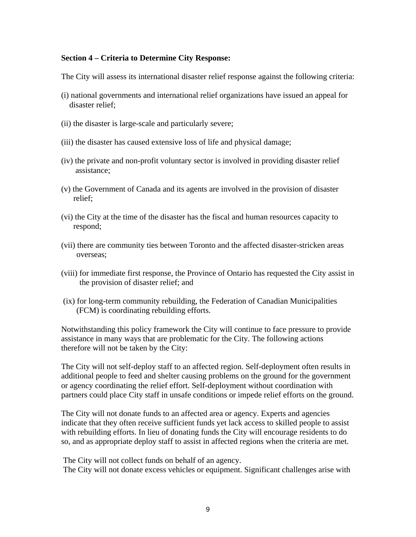#### **Section 4 – Criteria to Determine City Response:**

The City will assess its international disaster relief response against the following criteria:

- (i) national governments and international relief organizations have issued an appeal for disaster relief;
- (ii) the disaster is large-scale and particularly severe;
- (iii) the disaster has caused extensive loss of life and physical damage;
- (iv) the private and non-profit voluntary sector is involved in providing disaster relief assistance;
- (v) the Government of Canada and its agents are involved in the provision of disaster relief;
- (vi) the City at the time of the disaster has the fiscal and human resources capacity to respond;
- (vii) there are community ties between Toronto and the affected disaster-stricken areas overseas;
- (viii) for immediate first response, the Province of Ontario has requested the City assist in the provision of disaster relief; and
- (ix) for long-term community rebuilding, the Federation of Canadian Municipalities (FCM) is coordinating rebuilding efforts.

Notwithstanding this policy framework the City will continue to face pressure to provide assistance in many ways that are problematic for the City. The following actions therefore will not be taken by the City:

The City will not self-deploy staff to an affected region. Self-deployment often results in additional people to feed and shelter causing problems on the ground for the government or agency coordinating the relief effort. Self-deployment without coordination with partners could place City staff in unsafe conditions or impede relief efforts on the ground.

The City will not donate funds to an affected area or agency. Experts and agencies indicate that they often receive sufficient funds yet lack access to skilled people to assist with rebuilding efforts. In lieu of donating funds the City will encourage residents to do so, and as appropriate deploy staff to assist in affected regions when the criteria are met.

The City will not collect funds on behalf of an agency. The City will not donate excess vehicles or equipment. Significant challenges arise with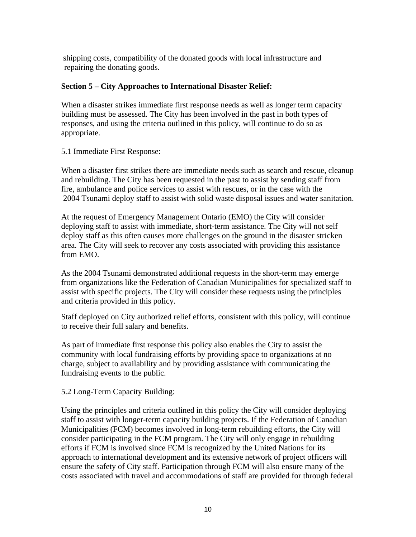shipping costs, compatibility of the donated goods with local infrastructure and repairing the donating goods.

#### **Section 5 – City Approaches to International Disaster Relief:**

When a disaster strikes immediate first response needs as well as longer term capacity building must be assessed. The City has been involved in the past in both types of responses, and using the criteria outlined in this policy, will continue to do so as appropriate.

5.1 Immediate First Response:

When a disaster first strikes there are immediate needs such as search and rescue, cleanup and rebuilding. The City has been requested in the past to assist by sending staff from fire, ambulance and police services to assist with rescues, or in the case with the 2004 Tsunami deploy staff to assist with solid waste disposal issues and water sanitation.

At the request of Emergency Management Ontario (EMO) the City will consider deploying staff to assist with immediate, short-term assistance. The City will not self deploy staff as this often causes more challenges on the ground in the disaster stricken area. The City will seek to recover any costs associated with providing this assistance from EMO.

As the 2004 Tsunami demonstrated additional requests in the short-term may emerge from organizations like the Federation of Canadian Municipalities for specialized staff to assist with specific projects. The City will consider these requests using the principles and criteria provided in this policy.

Staff deployed on City authorized relief efforts, consistent with this policy, will continue to receive their full salary and benefits.

As part of immediate first response this policy also enables the City to assist the community with local fundraising efforts by providing space to organizations at no charge, subject to availability and by providing assistance with communicating the fundraising events to the public.

5.2 Long-Term Capacity Building:

Using the principles and criteria outlined in this policy the City will consider deploying staff to assist with longer-term capacity building projects. If the Federation of Canadian Municipalities (FCM) becomes involved in long-term rebuilding efforts, the City will consider participating in the FCM program. The City will only engage in rebuilding efforts if FCM is involved since FCM is recognized by the United Nations for its approach to international development and its extensive network of project officers will ensure the safety of City staff. Participation through FCM will also ensure many of the costs associated with travel and accommodations of staff are provided for through federal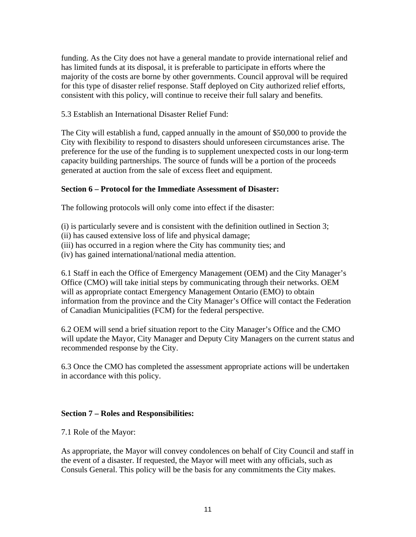funding. As the City does not have a general mandate to provide international relief and has limited funds at its disposal, it is preferable to participate in efforts where the majority of the costs are borne by other governments. Council approval will be required for this type of disaster relief response. Staff deployed on City authorized relief efforts, consistent with this policy, will continue to receive their full salary and benefits.

5.3 Establish an International Disaster Relief Fund:

The City will establish a fund, capped annually in the amount of \$50,000 to provide the City with flexibility to respond to disasters should unforeseen circumstances arise. The preference for the use of the funding is to supplement unexpected costs in our long-term capacity building partnerships. The source of funds will be a portion of the proceeds generated at auction from the sale of excess fleet and equipment.

#### **Section 6 – Protocol for the Immediate Assessment of Disaster:**

The following protocols will only come into effect if the disaster:

(i) is particularly severe and is consistent with the definition outlined in Section 3;

(ii) has caused extensive loss of life and physical damage;

(iii) has occurred in a region where the City has community ties; and

(iv) has gained international/national media attention.

6.1 Staff in each the Office of Emergency Management (OEM) and the City Manager's Office (CMO) will take initial steps by communicating through their networks. OEM will as appropriate contact Emergency Management Ontario (EMO) to obtain information from the province and the City Manager's Office will contact the Federation of Canadian Municipalities (FCM) for the federal perspective.

6.2 OEM will send a brief situation report to the City Manager's Office and the CMO will update the Mayor, City Manager and Deputy City Managers on the current status and recommended response by the City.

6.3 Once the CMO has completed the assessment appropriate actions will be undertaken in accordance with this policy.

#### **Section 7 – Roles and Responsibilities:**

7.1 Role of the Mayor:

As appropriate, the Mayor will convey condolences on behalf of City Council and staff in the event of a disaster. If requested, the Mayor will meet with any officials, such as Consuls General. This policy will be the basis for any commitments the City makes.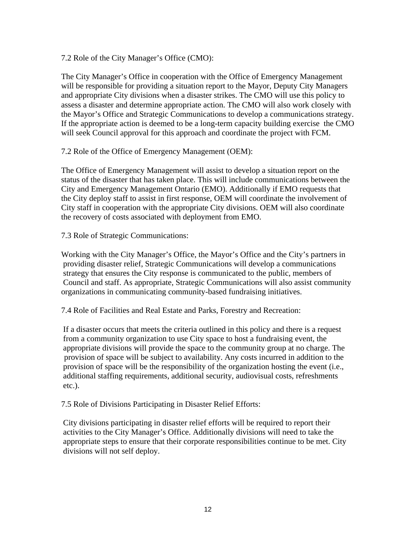7.2 Role of the City Manager's Office (CMO):

The City Manager's Office in cooperation with the Office of Emergency Management will be responsible for providing a situation report to the Mayor, Deputy City Managers and appropriate City divisions when a disaster strikes. The CMO will use this policy to assess a disaster and determine appropriate action. The CMO will also work closely with the Mayor's Office and Strategic Communications to develop a communications strategy. If the appropriate action is deemed to be a long-term capacity building exercise the CMO will seek Council approval for this approach and coordinate the project with FCM.

7.2 Role of the Office of Emergency Management (OEM):

The Office of Emergency Management will assist to develop a situation report on the status of the disaster that has taken place. This will include communications between the City and Emergency Management Ontario (EMO). Additionally if EMO requests that the City deploy staff to assist in first response, OEM will coordinate the involvement of City staff in cooperation with the appropriate City divisions. OEM will also coordinate the recovery of costs associated with deployment from EMO.

7.3 Role of Strategic Communications:

Working with the City Manager's Office, the Mayor's Office and the City's partners in providing disaster relief, Strategic Communications will develop a communications strategy that ensures the City response is communicated to the public, members of Council and staff. As appropriate, Strategic Communications will also assist community organizations in communicating community-based fundraising initiatives.

7.4 Role of Facilities and Real Estate and Parks, Forestry and Recreation:

If a disaster occurs that meets the criteria outlined in this policy and there is a request from a community organization to use City space to host a fundraising event, the appropriate divisions will provide the space to the community group at no charge. The provision of space will be subject to availability. Any costs incurred in addition to the provision of space will be the responsibility of the organization hosting the event (i.e., additional staffing requirements, additional security, audiovisual costs, refreshments etc.).

7.5 Role of Divisions Participating in Disaster Relief Efforts:

City divisions participating in disaster relief efforts will be required to report their activities to the City Manager's Office. Additionally divisions will need to take the appropriate steps to ensure that their corporate responsibilities continue to be met. City divisions will not self deploy.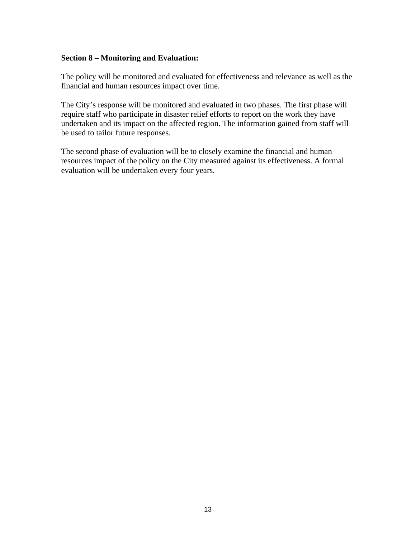#### **Section 8 – Monitoring and Evaluation:**

The policy will be monitored and evaluated for effectiveness and relevance as well as the financial and human resources impact over time.

The City's response will be monitored and evaluated in two phases. The first phase will require staff who participate in disaster relief efforts to report on the work they have undertaken and its impact on the affected region. The information gained from staff will be used to tailor future responses.

The second phase of evaluation will be to closely examine the financial and human resources impact of the policy on the City measured against its effectiveness. A formal evaluation will be undertaken every four years.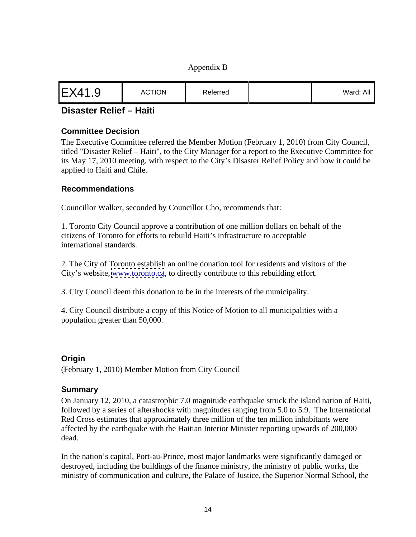#### Appendix B

|--|--|--|

# **Disaster Relief – Haiti**

#### **Committee Decision**

The Executive Committee referred the Member Motion (February 1, 2010) from City Council, titled "Disaster Relief – Haiti", to the City Manager for a report to the Executive Committee for its May 17, 2010 meeting, with respect to the City's Disaster Relief Policy and how it could be applied to Haiti and Chile.

#### **Recommendations**

Councillor Walker, seconded by Councillor Cho, recommends that:

1. Toronto City Council approve a contribution of one million dollars on behalf of the citizens of Toronto for efforts to rebuild Haiti's infrastructure to acceptable international standards.

2. The City of Toronto establish an online donation tool for residents and visitors of the City's website, [www.toronto.ca](http://www.toronto.ca), to directly contribute to this rebuilding effort.

3. City Council deem this donation to be in the interests of the municipality.

4. City Council distribute a copy of this Notice of Motion to all municipalities with a population greater than 50,000.

#### **Origin**

(February 1, 2010) Member Motion from City Council

#### **Summary**

On January 12, 2010, a catastrophic 7.0 magnitude earthquake struck the island nation of Haiti, followed by a series of aftershocks with magnitudes ranging from 5.0 to 5.9. The International Red Cross estimates that approximately three million of the ten million inhabitants were affected by the earthquake with the Haitian Interior Minister reporting upwards of 200,000 dead.

In the nation's capital, Port-au-Prince, most major landmarks were significantly damaged or destroyed, including the buildings of the finance ministry, the ministry of public works, the ministry of communication and culture, the Palace of Justice, the Superior Normal School, the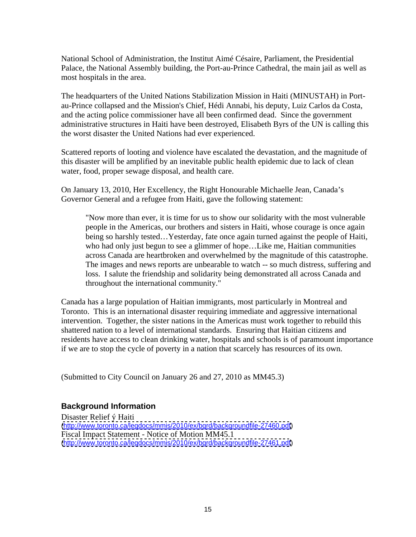National School of Administration, the Institut Aimé Césaire, Parliament, the Presidential Palace, the National Assembly building, the Port-au-Prince Cathedral, the main jail as well as most hospitals in the area.

The headquarters of the United Nations Stabilization Mission in Haiti (MINUSTAH) in Port au-Prince collapsed and the Mission's Chief, Hédi Annabi, his deputy, Luiz Carlos da Costa, and the acting police commissioner have all been confirmed dead. Since the government administrative structures in Haiti have been destroyed, Elisabeth Byrs of the UN is calling this the worst disaster the United Nations had ever experienced.

Scattered reports of looting and violence have escalated the devastation, and the magnitude of this disaster will be amplified by an inevitable public health epidemic due to lack of clean water, food, proper sewage disposal, and health care.

On January 13, 2010, Her Excellency, the Right Honourable Michaelle Jean, Canada's Governor General and a refugee from Haiti, gave the following statement:

"Now more than ever, it is time for us to show our solidarity with the most vulnerable people in the Americas, our brothers and sisters in Haiti, whose courage is once again being so harshly tested... Yesterday, fate once again turned against the people of Haiti, who had only just begun to see a glimmer of hope…Like me, Haitian communities across Canada are heartbroken and overwhelmed by the magnitude of this catastrophe. The images and news reports are unbearable to watch -- so much distress, suffering and loss. I salute the friendship and solidarity being demonstrated all across Canada and throughout the international community."

Canada has a large population of Haitian immigrants, most particularly in Montreal and Toronto. This is an international disaster requiring immediate and aggressive international intervention. Together, the sister nations in the Americas must work together to rebuild this shattered nation to a level of international standards. Ensuring that Haitian citizens and residents have access to clean drinking water, hospitals and schools is of paramount importance if we are to stop the cycle of poverty in a nation that scarcely has resources of its own.

(Submitted to City Council on January 26 and 27, 2010 as MM45.3)

#### **Background Information**

Disaster Relief ý Haiti [\(http://www.toronto.ca/legdocs/mmis/2010/ex/bgrd/backgroundfile-27460.pdf](http://www.toronto.ca/legdocs/mmis/2010/ex/bgrd/backgroundfile-27460.pdf)) Fiscal Impact Statement - Notice of Motion MM45.1 [\(http://www.toronto.ca/legdocs/mmis/2010/ex/bgrd/backgroundfile-27461.pdf](http://www.toronto.ca/legdocs/mmis/2010/ex/bgrd/backgroundfile-27461.pdf))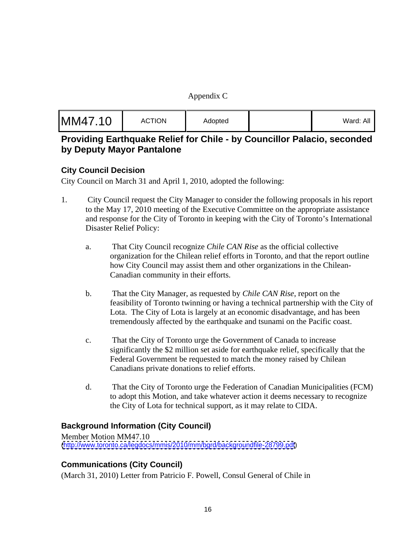#### Appendix C

| $Mord$ $\sim$ |  |
|---------------|--|
|               |  |

# **Providing Earthquake Relief for Chile - by Councillor Palacio, seconded by Deputy Mayor Pantalone**

### **City Council Decision**

City Council on March 31 and April 1, 2010, adopted the following:

- 1. City Council request the City Manager to consider the following proposals in his report to the May 17, 2010 meeting of the Executive Committee on the appropriate assistance and response for the City of Toronto in keeping with the City of Toronto's International Disaster Relief Policy:
	- a. That City Council recognize *Chile CAN Rise* as the official collective organization for the Chilean relief efforts in Toronto, and that the report outline how City Council may assist them and other organizations in the Chilean- Canadian community in their efforts.
	- b. That the City Manager, as requested by *Chile CAN Rise*, report on the feasibility of Toronto twinning or having a technical partnership with the City of Lota. The City of Lota is largely at an economic disadvantage, and has been tremendously affected by the earthquake and tsunami on the Pacific coast.
	- c. That the City of Toronto urge the Government of Canada to increase significantly the \$2 million set aside for earthquake relief, specifically that the Federal Government be requested to match the money raised by Chilean Canadians private donations to relief efforts.
	- d. That the City of Toronto urge the Federation of Canadian Municipalities (FCM) to adopt this Motion, and take whatever action it deems necessary to recognize the City of Lota for technical support, as it may relate to CIDA.

### **Background Information (City Council)**

Member Motion MM47.10 [\(http://www.toronto.ca/legdocs/mmis/2010/mm/bgrd/backgroundfile-28799.pdf](http://www.toronto.ca/legdocs/mmis/2010/mm/bgrd/backgroundfile-28799.pdf))

# **Communications (City Council)**

(March 31, 2010) Letter from Patricio F. Powell, Consul General of Chile in